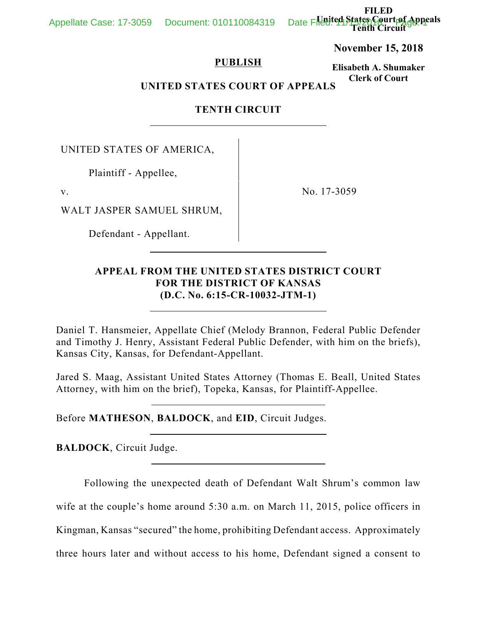**FILED United States Court of Appeals Tenth Circuit**

**November 15, 2018**

## **PUBLISH**

**Elisabeth A. Shumaker Clerk of Court**

# **UNITED STATES COURT OF APPEALS**

# **TENTH CIRCUIT**

UNITED STATES OF AMERICA,

 $\overline{a}$ 

Plaintiff - Appellee,

v. No. 17-3059

WALT JASPER SAMUEL SHRUM,

Defendant - Appellant.

 $\overline{a}$ 

 $\overline{a}$ 

 $\overline{a}$ 

 $\overline{a}$ 

 $\overline{a}$ 

# **APPEAL FROM THE UNITED STATES DISTRICT COURT FOR THE DISTRICT OF KANSAS (D.C. No. 6:15-CR-10032-JTM-1)**

Daniel T. Hansmeier, Appellate Chief (Melody Brannon, Federal Public Defender and Timothy J. Henry, Assistant Federal Public Defender, with him on the briefs), Kansas City, Kansas, for Defendant-Appellant.

Jared S. Maag, Assistant United States Attorney (Thomas E. Beall, United States Attorney, with him on the brief), Topeka, Kansas, for Plaintiff-Appellee.

Before **MATHESON**, **BALDOCK**, and **EID**, Circuit Judges.

**BALDOCK**, Circuit Judge.

Following the unexpected death of Defendant Walt Shrum's common law

wife at the couple's home around 5:30 a.m. on March 11, 2015, police officers in

Kingman, Kansas "secured" the home, prohibiting Defendant access. Approximately

three hours later and without access to his home, Defendant signed a consent to

## Appellate Case: 17-3059 Document: 010110084319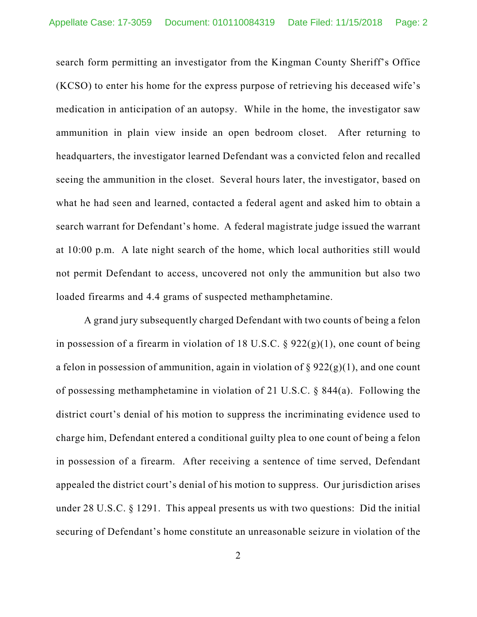search form permitting an investigator from the Kingman County Sheriff's Office (KCSO) to enter his home for the express purpose of retrieving his deceased wife's medication in anticipation of an autopsy. While in the home, the investigator saw ammunition in plain view inside an open bedroom closet. After returning to headquarters, the investigator learned Defendant was a convicted felon and recalled seeing the ammunition in the closet. Several hours later, the investigator, based on what he had seen and learned, contacted a federal agent and asked him to obtain a search warrant for Defendant's home. A federal magistrate judge issued the warrant at 10:00 p.m. A late night search of the home, which local authorities still would not permit Defendant to access, uncovered not only the ammunition but also two loaded firearms and 4.4 grams of suspected methamphetamine.

A grand jury subsequently charged Defendant with two counts of being a felon in possession of a firearm in violation of 18 U.S.C.  $\S$  922(g)(1), one count of being a felon in possession of ammunition, again in violation of  $\S 922(g)(1)$ , and one count of possessing methamphetamine in violation of 21 U.S.C. § 844(a). Following the district court's denial of his motion to suppress the incriminating evidence used to charge him, Defendant entered a conditional guilty plea to one count of being a felon in possession of a firearm. After receiving a sentence of time served, Defendant appealed the district court's denial of his motion to suppress. Our jurisdiction arises under 28 U.S.C. § 1291. This appeal presents us with two questions: Did the initial securing of Defendant's home constitute an unreasonable seizure in violation of the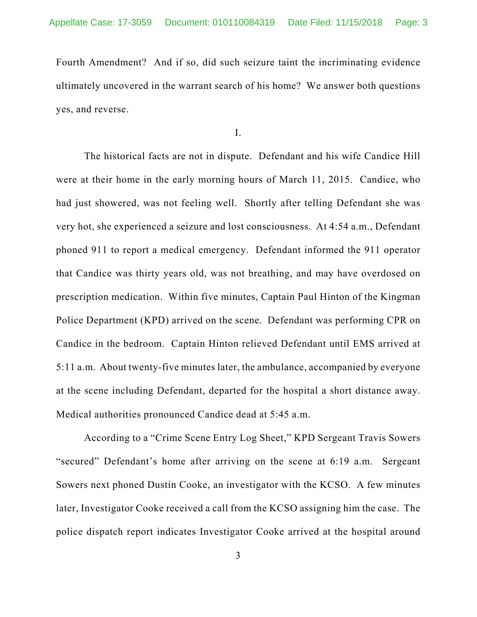Fourth Amendment? And if so, did such seizure taint the incriminating evidence ultimately uncovered in the warrant search of his home? We answer both questions yes, and reverse.

I.

The historical facts are not in dispute. Defendant and his wife Candice Hill were at their home in the early morning hours of March 11, 2015. Candice, who had just showered, was not feeling well. Shortly after telling Defendant she was very hot, she experienced a seizure and lost consciousness. At 4:54 a.m., Defendant phoned 911 to report a medical emergency. Defendant informed the 911 operator that Candice was thirty years old, was not breathing, and may have overdosed on prescription medication. Within five minutes, Captain Paul Hinton of the Kingman Police Department (KPD) arrived on the scene. Defendant was performing CPR on Candice in the bedroom. Captain Hinton relieved Defendant until EMS arrived at 5:11 a.m. About twenty-five minutes later, the ambulance, accompanied by everyone at the scene including Defendant, departed for the hospital a short distance away. Medical authorities pronounced Candice dead at 5:45 a.m.

According to a "Crime Scene Entry Log Sheet," KPD Sergeant Travis Sowers "secured" Defendant's home after arriving on the scene at 6:19 a.m. Sergeant Sowers next phoned Dustin Cooke, an investigator with the KCSO. A few minutes later, Investigator Cooke received a call from the KCSO assigning him the case. The police dispatch report indicates Investigator Cooke arrived at the hospital around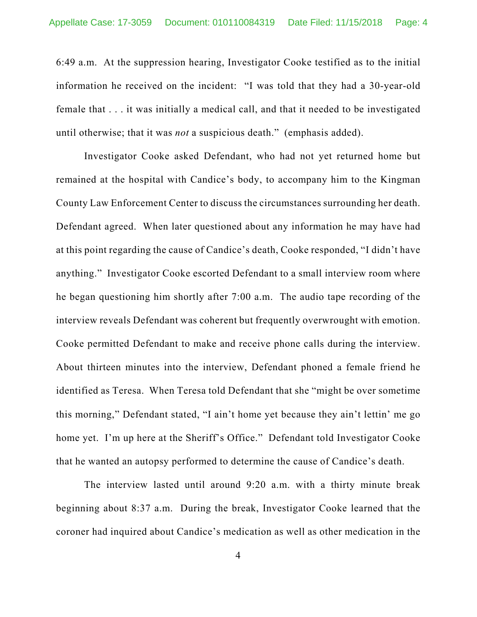6:49 a.m. At the suppression hearing, Investigator Cooke testified as to the initial information he received on the incident: "I was told that they had a 30-year-old female that . . . it was initially a medical call, and that it needed to be investigated until otherwise; that it was *not* a suspicious death." (emphasis added).

Investigator Cooke asked Defendant, who had not yet returned home but remained at the hospital with Candice's body, to accompany him to the Kingman County Law Enforcement Center to discuss the circumstances surrounding her death. Defendant agreed. When later questioned about any information he may have had at this point regarding the cause of Candice's death, Cooke responded, "I didn't have anything." Investigator Cooke escorted Defendant to a small interview room where he began questioning him shortly after 7:00 a.m. The audio tape recording of the interview reveals Defendant was coherent but frequently overwrought with emotion. Cooke permitted Defendant to make and receive phone calls during the interview. About thirteen minutes into the interview, Defendant phoned a female friend he identified as Teresa. When Teresa told Defendant that she "might be over sometime this morning," Defendant stated, "I ain't home yet because they ain't lettin' me go home yet. I'm up here at the Sheriff's Office." Defendant told Investigator Cooke that he wanted an autopsy performed to determine the cause of Candice's death.

The interview lasted until around 9:20 a.m. with a thirty minute break beginning about 8:37 a.m. During the break, Investigator Cooke learned that the coroner had inquired about Candice's medication as well as other medication in the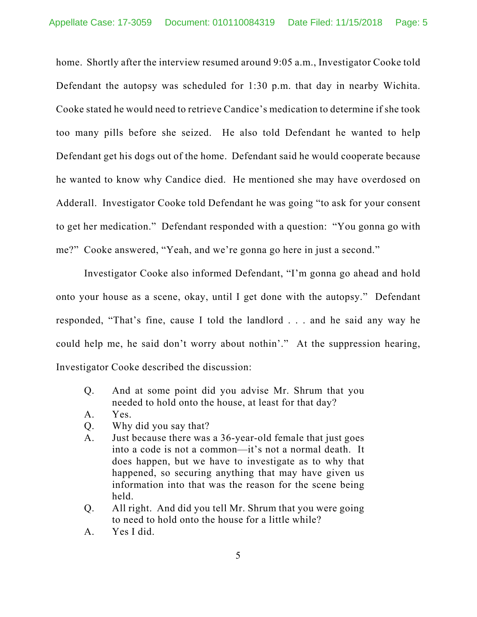home. Shortly after the interview resumed around 9:05 a.m., Investigator Cooke told Defendant the autopsy was scheduled for 1:30 p.m. that day in nearby Wichita. Cooke stated he would need to retrieve Candice's medication to determine if she took too many pills before she seized. He also told Defendant he wanted to help Defendant get his dogs out of the home. Defendant said he would cooperate because he wanted to know why Candice died. He mentioned she may have overdosed on Adderall. Investigator Cooke told Defendant he was going "to ask for your consent to get her medication." Defendant responded with a question: "You gonna go with me?" Cooke answered, "Yeah, and we're gonna go here in just a second."

Investigator Cooke also informed Defendant, "I'm gonna go ahead and hold onto your house as a scene, okay, until I get done with the autopsy." Defendant responded, "That's fine, cause I told the landlord . . . and he said any way he could help me, he said don't worry about nothin'." At the suppression hearing, Investigator Cooke described the discussion:

- Q. And at some point did you advise Mr. Shrum that you needed to hold onto the house, at least for that day?
- A. Yes.
- Q. Why did you say that?
- A. Just because there was a 36-year-old female that just goes into a code is not a common—it's not a normal death. It does happen, but we have to investigate as to why that happened, so securing anything that may have given us information into that was the reason for the scene being held.
- Q. All right. And did you tell Mr. Shrum that you were going to need to hold onto the house for a little while?
- A. Yes I did.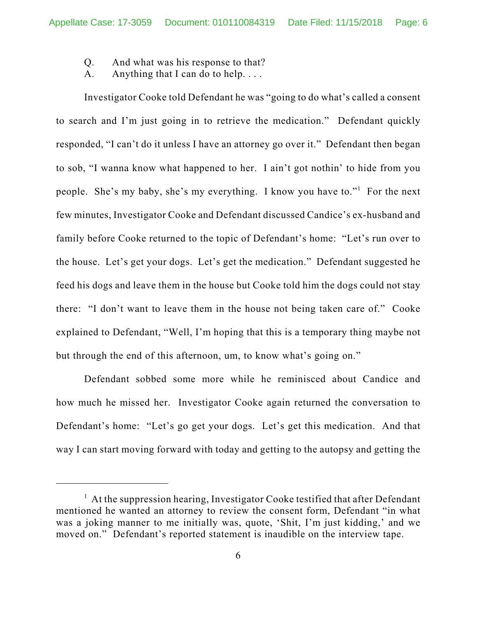- Q. And what was his response to that?
- A. Anything that I can do to help....

Investigator Cooke told Defendant he was "going to do what's called a consent to search and I'm just going in to retrieve the medication." Defendant quickly responded, "I can't do it unless I have an attorney go over it." Defendant then began to sob, "I wanna know what happened to her. I ain't got nothin' to hide from you people. She's my baby, she's my everything. I know you have to."<sup>1</sup> For the next few minutes, Investigator Cooke and Defendant discussed Candice's ex-husband and family before Cooke returned to the topic of Defendant's home: "Let's run over to the house. Let's get your dogs. Let's get the medication." Defendant suggested he feed his dogs and leave them in the house but Cooke told him the dogs could not stay there: "I don't want to leave them in the house not being taken care of." Cooke explained to Defendant, "Well, I'm hoping that this is a temporary thing maybe not but through the end of this afternoon, um, to know what's going on."

Defendant sobbed some more while he reminisced about Candice and how much he missed her. Investigator Cooke again returned the conversation to Defendant's home: "Let's go get your dogs. Let's get this medication. And that way I can start moving forward with today and getting to the autopsy and getting the

<sup>&</sup>lt;sup>1</sup> At the suppression hearing, Investigator Cooke testified that after Defendant mentioned he wanted an attorney to review the consent form, Defendant "in what was a joking manner to me initially was, quote, 'Shit, I'm just kidding,' and we moved on." Defendant's reported statement is inaudible on the interview tape.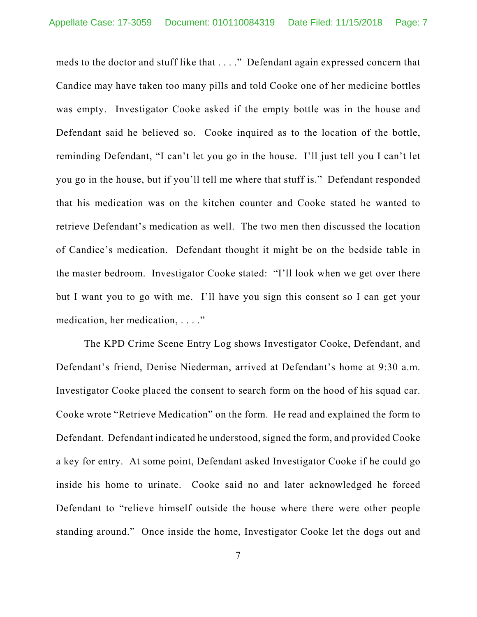meds to the doctor and stuff like that . . . ." Defendant again expressed concern that Candice may have taken too many pills and told Cooke one of her medicine bottles was empty. Investigator Cooke asked if the empty bottle was in the house and Defendant said he believed so. Cooke inquired as to the location of the bottle, reminding Defendant, "I can't let you go in the house. I'll just tell you I can't let you go in the house, but if you'll tell me where that stuff is." Defendant responded that his medication was on the kitchen counter and Cooke stated he wanted to retrieve Defendant's medication as well. The two men then discussed the location of Candice's medication. Defendant thought it might be on the bedside table in the master bedroom. Investigator Cooke stated: "I'll look when we get over there but I want you to go with me. I'll have you sign this consent so I can get your medication, her medication, . . . ."

The KPD Crime Scene Entry Log shows Investigator Cooke, Defendant, and Defendant's friend, Denise Niederman, arrived at Defendant's home at 9:30 a.m. Investigator Cooke placed the consent to search form on the hood of his squad car. Cooke wrote "Retrieve Medication" on the form. He read and explained the form to Defendant. Defendant indicated he understood, signed the form, and provided Cooke a key for entry. At some point, Defendant asked Investigator Cooke if he could go inside his home to urinate. Cooke said no and later acknowledged he forced Defendant to "relieve himself outside the house where there were other people standing around." Once inside the home, Investigator Cooke let the dogs out and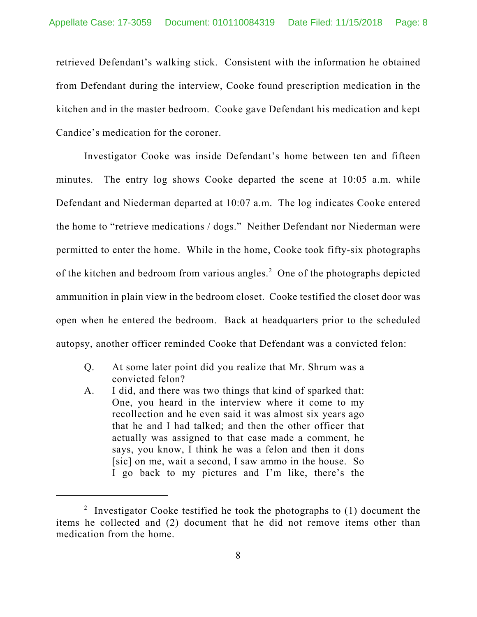retrieved Defendant's walking stick. Consistent with the information he obtained from Defendant during the interview, Cooke found prescription medication in the kitchen and in the master bedroom. Cooke gave Defendant his medication and kept Candice's medication for the coroner.

Investigator Cooke was inside Defendant's home between ten and fifteen minutes. The entry log shows Cooke departed the scene at 10:05 a.m. while Defendant and Niederman departed at 10:07 a.m. The log indicates Cooke entered the home to "retrieve medications / dogs." Neither Defendant nor Niederman were permitted to enter the home. While in the home, Cooke took fifty-six photographs of the kitchen and bedroom from various angles.<sup>2</sup> One of the photographs depicted ammunition in plain view in the bedroom closet. Cooke testified the closet door was open when he entered the bedroom. Back at headquarters prior to the scheduled autopsy, another officer reminded Cooke that Defendant was a convicted felon:

- Q. At some later point did you realize that Mr. Shrum was a convicted felon?
- A. I did, and there was two things that kind of sparked that: One, you heard in the interview where it come to my recollection and he even said it was almost six years ago that he and I had talked; and then the other officer that actually was assigned to that case made a comment, he says, you know, I think he was a felon and then it dons [sic] on me, wait a second, I saw ammo in the house. So I go back to my pictures and I'm like, there's the

<sup>&</sup>lt;sup>2</sup> Investigator Cooke testified he took the photographs to  $(1)$  document the items he collected and (2) document that he did not remove items other than medication from the home.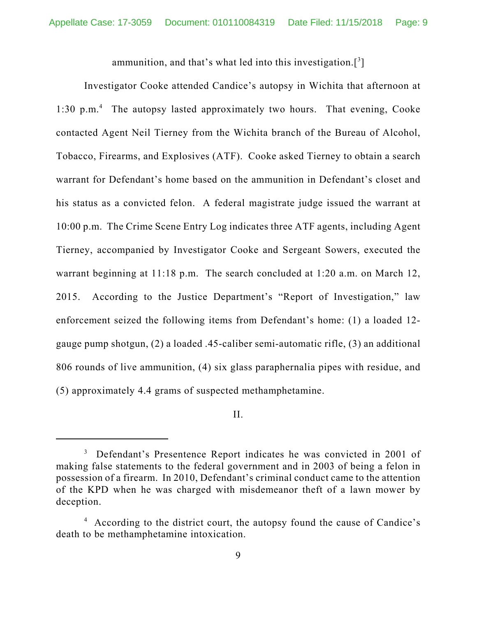ammunition, and that's what led into this investigation.[3]

Investigator Cooke attended Candice's autopsy in Wichita that afternoon at 1:30 p.m.<sup>4</sup> The autopsy lasted approximately two hours. That evening, Cooke contacted Agent Neil Tierney from the Wichita branch of the Bureau of Alcohol, Tobacco, Firearms, and Explosives (ATF). Cooke asked Tierney to obtain a search warrant for Defendant's home based on the ammunition in Defendant's closet and his status as a convicted felon. A federal magistrate judge issued the warrant at 10:00 p.m. The Crime Scene Entry Log indicates three ATF agents, including Agent Tierney, accompanied by Investigator Cooke and Sergeant Sowers, executed the warrant beginning at 11:18 p.m. The search concluded at 1:20 a.m. on March 12, 2015. According to the Justice Department's "Report of Investigation," law enforcement seized the following items from Defendant's home: (1) a loaded 12 gauge pump shotgun, (2) a loaded .45-caliber semi-automatic rifle, (3) an additional 806 rounds of live ammunition, (4) six glass paraphernalia pipes with residue, and (5) approximately 4.4 grams of suspected methamphetamine.

II.

<sup>&</sup>lt;sup>3</sup> Defendant's Presentence Report indicates he was convicted in 2001 of making false statements to the federal government and in 2003 of being a felon in possession of a firearm. In 2010, Defendant's criminal conduct came to the attention of the KPD when he was charged with misdemeanor theft of a lawn mower by deception.

<sup>&</sup>lt;sup>4</sup> According to the district court, the autopsy found the cause of Candice's death to be methamphetamine intoxication.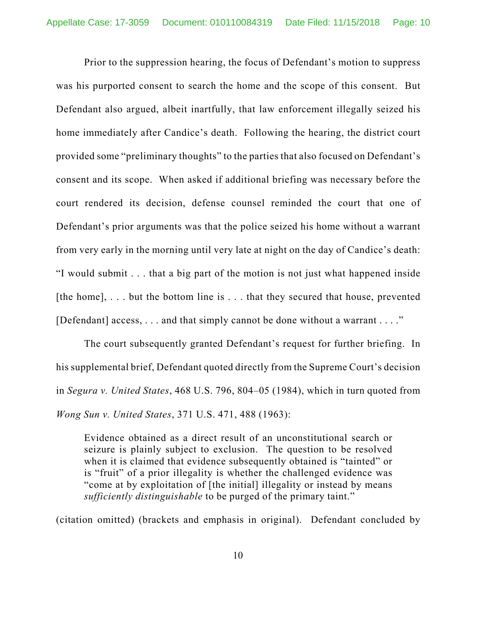Prior to the suppression hearing, the focus of Defendant's motion to suppress was his purported consent to search the home and the scope of this consent. But Defendant also argued, albeit inartfully, that law enforcement illegally seized his home immediately after Candice's death. Following the hearing, the district court provided some "preliminary thoughts" to the parties that also focused on Defendant's consent and its scope. When asked if additional briefing was necessary before the court rendered its decision, defense counsel reminded the court that one of Defendant's prior arguments was that the police seized his home without a warrant from very early in the morning until very late at night on the day of Candice's death: "I would submit . . . that a big part of the motion is not just what happened inside [the home],  $\dots$  but the bottom line is  $\dots$  that they secured that house, prevented [Defendant] access, . . . and that simply cannot be done without a warrant . . . ."

The court subsequently granted Defendant's request for further briefing. In his supplemental brief, Defendant quoted directly from the Supreme Court's decision in *Segura v. United States*, 468 U.S. 796, 804–05 (1984), which in turn quoted from *Wong Sun v. United States*, 371 U.S. 471, 488 (1963):

Evidence obtained as a direct result of an unconstitutional search or seizure is plainly subject to exclusion. The question to be resolved when it is claimed that evidence subsequently obtained is "tainted" or is "fruit" of a prior illegality is whether the challenged evidence was "come at by exploitation of [the initial] illegality or instead by means *sufficiently distinguishable* to be purged of the primary taint."

(citation omitted) (brackets and emphasis in original). Defendant concluded by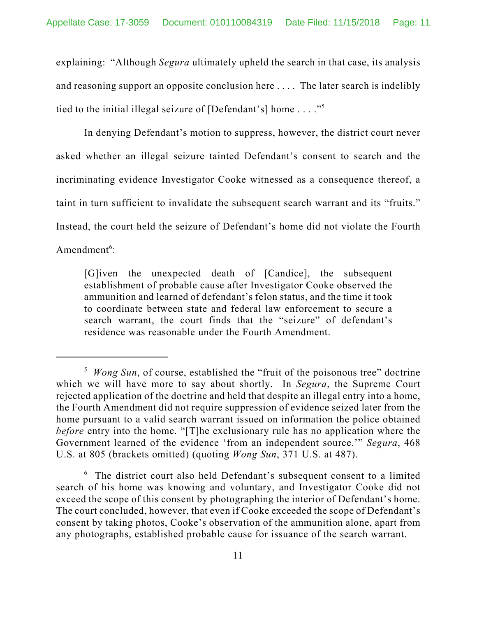explaining: "Although *Segura* ultimately upheld the search in that case, its analysis and reasoning support an opposite conclusion here . . . . The later search is indelibly tied to the initial illegal seizure of [Defendant's] home . . . ."5

In denying Defendant's motion to suppress, however, the district court never asked whether an illegal seizure tainted Defendant's consent to search and the incriminating evidence Investigator Cooke witnessed as a consequence thereof, a taint in turn sufficient to invalidate the subsequent search warrant and its "fruits." Instead, the court held the seizure of Defendant's home did not violate the Fourth Amendment<sup>6</sup>:

[G]iven the unexpected death of [Candice], the subsequent establishment of probable cause after Investigator Cooke observed the ammunition and learned of defendant's felon status, and the time it took to coordinate between state and federal law enforcement to secure a search warrant, the court finds that the "seizure" of defendant's residence was reasonable under the Fourth Amendment.

<sup>&</sup>lt;sup>5</sup> Wong Sun, of course, established the "fruit of the poisonous tree" doctrine which we will have more to say about shortly. In *Segura*, the Supreme Court rejected application of the doctrine and held that despite an illegal entry into a home, the Fourth Amendment did not require suppression of evidence seized later from the home pursuant to a valid search warrant issued on information the police obtained *before* entry into the home. "[T]he exclusionary rule has no application where the Government learned of the evidence 'from an independent source.'" *Segura*, 468 U.S. at 805 (brackets omitted) (quoting *Wong Sun*, 371 U.S. at 487).

<sup>&</sup>lt;sup>6</sup> The district court also held Defendant's subsequent consent to a limited search of his home was knowing and voluntary, and Investigator Cooke did not exceed the scope of this consent by photographing the interior of Defendant's home. The court concluded, however, that even if Cooke exceeded the scope of Defendant's consent by taking photos, Cooke's observation of the ammunition alone, apart from any photographs, established probable cause for issuance of the search warrant.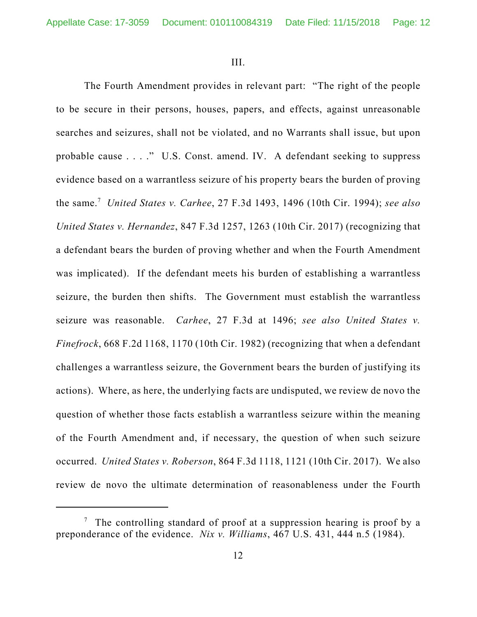III.

The Fourth Amendment provides in relevant part: "The right of the people to be secure in their persons, houses, papers, and effects, against unreasonable searches and seizures, shall not be violated, and no Warrants shall issue, but upon probable cause . . . ." U.S. Const. amend. IV. A defendant seeking to suppress evidence based on a warrantless seizure of his property bears the burden of proving the same.7 *United States v. Carhee*, 27 F.3d 1493, 1496 (10th Cir. 1994); *see also United States v. Hernandez*, 847 F.3d 1257, 1263 (10th Cir. 2017) (recognizing that a defendant bears the burden of proving whether and when the Fourth Amendment was implicated). If the defendant meets his burden of establishing a warrantless seizure, the burden then shifts. The Government must establish the warrantless seizure was reasonable. *Carhee*, 27 F.3d at 1496; *see also United States v. Finefrock*, 668 F.2d 1168, 1170 (10th Cir. 1982) (recognizing that when a defendant challenges a warrantless seizure, the Government bears the burden of justifying its actions). Where, as here, the underlying facts are undisputed, we review de novo the question of whether those facts establish a warrantless seizure within the meaning of the Fourth Amendment and, if necessary, the question of when such seizure occurred. *United States v. Roberson*, 864 F.3d 1118, 1121 (10th Cir. 2017). We also review de novo the ultimate determination of reasonableness under the Fourth

<sup>&</sup>lt;sup>7</sup> The controlling standard of proof at a suppression hearing is proof by a preponderance of the evidence. *Nix v. Williams*, 467 U.S. 431, 444 n.5 (1984).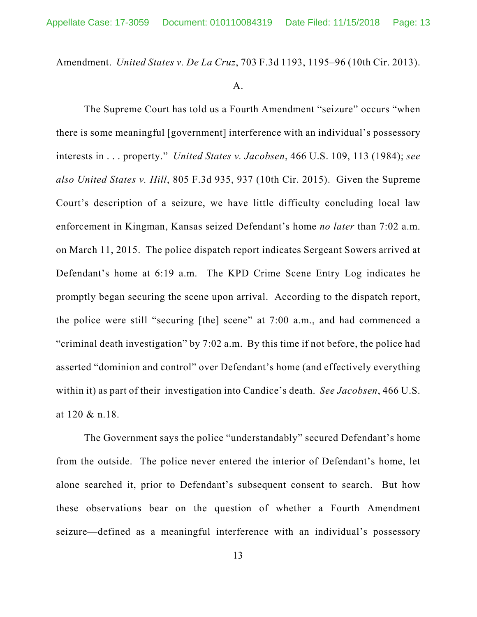Amendment. *United States v. De La Cruz*, 703 F.3d 1193, 1195–96 (10th Cir. 2013).

## A.

The Supreme Court has told us a Fourth Amendment "seizure" occurs "when there is some meaningful [government] interference with an individual's possessory interests in . . . property." *United States v. Jacobsen*, 466 U.S. 109, 113 (1984); *see also United States v. Hill*, 805 F.3d 935, 937 (10th Cir. 2015). Given the Supreme Court's description of a seizure, we have little difficulty concluding local law enforcement in Kingman, Kansas seized Defendant's home *no later* than 7:02 a.m. on March 11, 2015. The police dispatch report indicates Sergeant Sowers arrived at Defendant's home at 6:19 a.m. The KPD Crime Scene Entry Log indicates he promptly began securing the scene upon arrival. According to the dispatch report, the police were still "securing [the] scene" at 7:00 a.m., and had commenced a "criminal death investigation" by 7:02 a.m. By this time if not before, the police had asserted "dominion and control" over Defendant's home (and effectively everything within it) as part of their investigation into Candice's death. *See Jacobsen*, 466 U.S. at 120 & n.18.

The Government says the police "understandably" secured Defendant's home from the outside. The police never entered the interior of Defendant's home, let alone searched it, prior to Defendant's subsequent consent to search. But how these observations bear on the question of whether a Fourth Amendment seizure—defined as a meaningful interference with an individual's possessory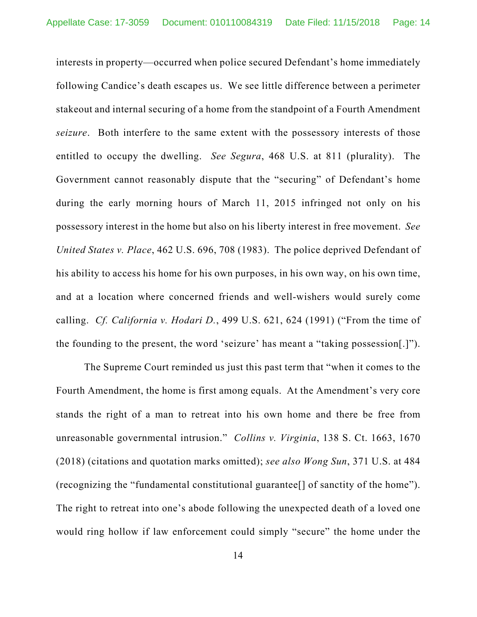interests in property—occurred when police secured Defendant's home immediately following Candice's death escapes us. We see little difference between a perimeter stakeout and internal securing of a home from the standpoint of a Fourth Amendment *seizure*. Both interfere to the same extent with the possessory interests of those entitled to occupy the dwelling. *See Segura*, 468 U.S. at 811 (plurality). The Government cannot reasonably dispute that the "securing" of Defendant's home during the early morning hours of March 11, 2015 infringed not only on his possessory interest in the home but also on his liberty interest in free movement. *See United States v. Place*, 462 U.S. 696, 708 (1983). The police deprived Defendant of his ability to access his home for his own purposes, in his own way, on his own time, and at a location where concerned friends and well-wishers would surely come calling. *Cf. California v. Hodari D.*, 499 U.S. 621, 624 (1991) ("From the time of the founding to the present, the word 'seizure' has meant a "taking possession[.]").

The Supreme Court reminded us just this past term that "when it comes to the Fourth Amendment, the home is first among equals. At the Amendment's very core stands the right of a man to retreat into his own home and there be free from unreasonable governmental intrusion." *Collins v. Virginia*, 138 S. Ct. 1663, 1670 (2018) (citations and quotation marks omitted); *see also Wong Sun*, 371 U.S. at 484 (recognizing the "fundamental constitutional guarantee[] of sanctity of the home"). The right to retreat into one's abode following the unexpected death of a loved one would ring hollow if law enforcement could simply "secure" the home under the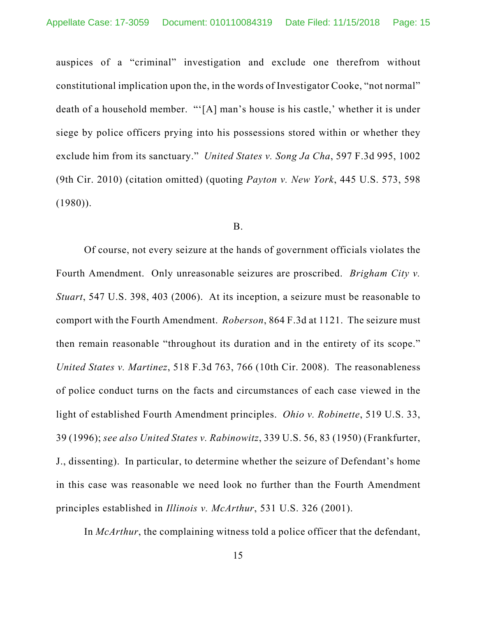auspices of a "criminal" investigation and exclude one therefrom without constitutional implication upon the, in the words of Investigator Cooke, "not normal" death of a household member. "'[A] man's house is his castle,' whether it is under siege by police officers prying into his possessions stored within or whether they exclude him from its sanctuary." *United States v. Song Ja Cha*, 597 F.3d 995, 1002 (9th Cir. 2010) (citation omitted) (quoting *Payton v. New York*, 445 U.S. 573, 598  $(1980)$ ).

### B.

Of course, not every seizure at the hands of government officials violates the Fourth Amendment. Only unreasonable seizures are proscribed. *Brigham City v. Stuart*, 547 U.S. 398, 403 (2006). At its inception, a seizure must be reasonable to comport with the Fourth Amendment. *Roberson*, 864 F.3d at 1121. The seizure must then remain reasonable "throughout its duration and in the entirety of its scope." *United States v. Martinez*, 518 F.3d 763, 766 (10th Cir. 2008). The reasonableness of police conduct turns on the facts and circumstances of each case viewed in the light of established Fourth Amendment principles. *Ohio v. Robinette*, 519 U.S. 33, 39 (1996); *see also United States v. Rabinowitz*, 339 U.S. 56, 83 (1950) (Frankfurter, J., dissenting). In particular, to determine whether the seizure of Defendant's home in this case was reasonable we need look no further than the Fourth Amendment principles established in *Illinois v. McArthur*, 531 U.S. 326 (2001).

In *McArthur*, the complaining witness told a police officer that the defendant,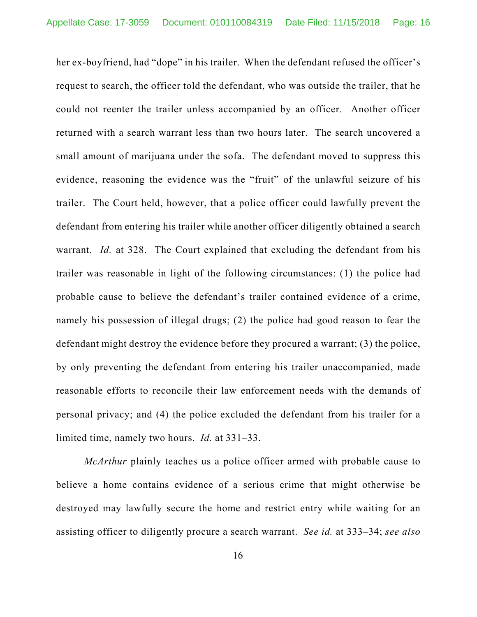her ex-boyfriend, had "dope" in his trailer. When the defendant refused the officer's request to search, the officer told the defendant, who was outside the trailer, that he could not reenter the trailer unless accompanied by an officer. Another officer returned with a search warrant less than two hours later. The search uncovered a small amount of marijuana under the sofa. The defendant moved to suppress this evidence, reasoning the evidence was the "fruit" of the unlawful seizure of his trailer. The Court held, however, that a police officer could lawfully prevent the defendant from entering his trailer while another officer diligently obtained a search warrant. *Id.* at 328. The Court explained that excluding the defendant from his trailer was reasonable in light of the following circumstances: (1) the police had probable cause to believe the defendant's trailer contained evidence of a crime, namely his possession of illegal drugs; (2) the police had good reason to fear the defendant might destroy the evidence before they procured a warrant; (3) the police, by only preventing the defendant from entering his trailer unaccompanied, made reasonable efforts to reconcile their law enforcement needs with the demands of personal privacy; and (4) the police excluded the defendant from his trailer for a limited time, namely two hours. *Id.* at 331–33.

*McArthur* plainly teaches us a police officer armed with probable cause to believe a home contains evidence of a serious crime that might otherwise be destroyed may lawfully secure the home and restrict entry while waiting for an assisting officer to diligently procure a search warrant. *See id.* at 333–34; *see also*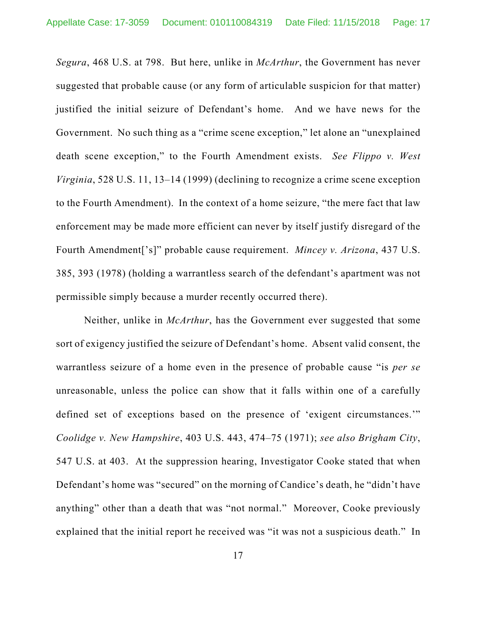*Segura*, 468 U.S. at 798. But here, unlike in *McArthur*, the Government has never suggested that probable cause (or any form of articulable suspicion for that matter) justified the initial seizure of Defendant's home. And we have news for the Government. No such thing as a "crime scene exception," let alone an "unexplained death scene exception," to the Fourth Amendment exists. *See Flippo v. West Virginia*, 528 U.S. 11, 13–14 (1999) (declining to recognize a crime scene exception to the Fourth Amendment). In the context of a home seizure, "the mere fact that law enforcement may be made more efficient can never by itself justify disregard of the Fourth Amendment['s]" probable cause requirement. *Mincey v. Arizona*, 437 U.S. 385, 393 (1978) (holding a warrantless search of the defendant's apartment was not permissible simply because a murder recently occurred there).

Neither, unlike in *McArthur*, has the Government ever suggested that some sort of exigency justified the seizure of Defendant's home. Absent valid consent, the warrantless seizure of a home even in the presence of probable cause "is *per se* unreasonable, unless the police can show that it falls within one of a carefully defined set of exceptions based on the presence of 'exigent circumstances.'" *Coolidge v. New Hampshire*, 403 U.S. 443, 474–75 (1971); *see also Brigham City*, 547 U.S. at 403. At the suppression hearing, Investigator Cooke stated that when Defendant's home was "secured" on the morning of Candice's death, he "didn't have anything" other than a death that was "not normal." Moreover, Cooke previously explained that the initial report he received was "it was not a suspicious death." In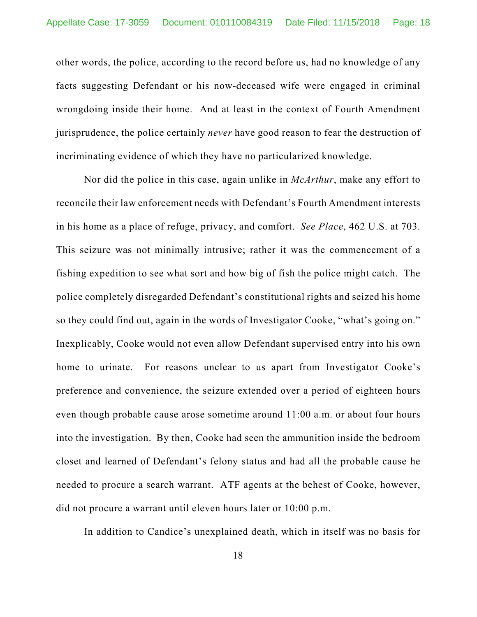other words, the police, according to the record before us, had no knowledge of any facts suggesting Defendant or his now-deceased wife were engaged in criminal wrongdoing inside their home. And at least in the context of Fourth Amendment jurisprudence, the police certainly *never* have good reason to fear the destruction of incriminating evidence of which they have no particularized knowledge.

Nor did the police in this case, again unlike in *McArthur*, make any effort to reconcile their law enforcement needs with Defendant's Fourth Amendment interests in his home as a place of refuge, privacy, and comfort. *See Place*, 462 U.S. at 703. This seizure was not minimally intrusive; rather it was the commencement of a fishing expedition to see what sort and how big of fish the police might catch. The police completely disregarded Defendant's constitutional rights and seized his home so they could find out, again in the words of Investigator Cooke, "what's going on." Inexplicably, Cooke would not even allow Defendant supervised entry into his own home to urinate. For reasons unclear to us apart from Investigator Cooke's preference and convenience, the seizure extended over a period of eighteen hours even though probable cause arose sometime around 11:00 a.m. or about four hours into the investigation. By then, Cooke had seen the ammunition inside the bedroom closet and learned of Defendant's felony status and had all the probable cause he needed to procure a search warrant. ATF agents at the behest of Cooke, however, did not procure a warrant until eleven hours later or 10:00 p.m.

In addition to Candice's unexplained death, which in itself was no basis for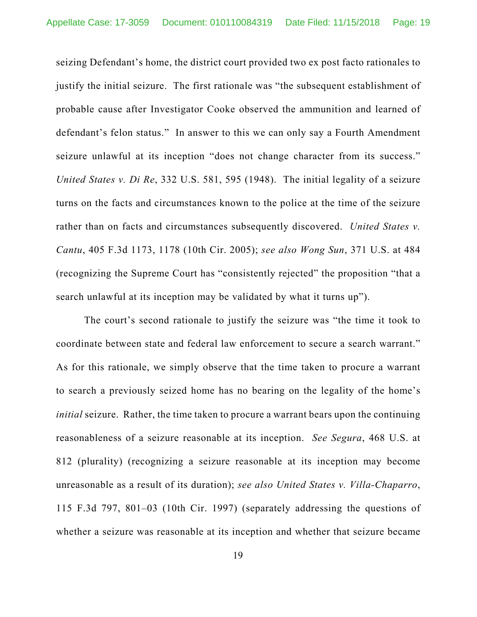seizing Defendant's home, the district court provided two ex post facto rationales to justify the initial seizure. The first rationale was "the subsequent establishment of probable cause after Investigator Cooke observed the ammunition and learned of defendant's felon status." In answer to this we can only say a Fourth Amendment seizure unlawful at its inception "does not change character from its success." *United States v. Di Re*, 332 U.S. 581, 595 (1948). The initial legality of a seizure turns on the facts and circumstances known to the police at the time of the seizure rather than on facts and circumstances subsequently discovered. *United States v. Cantu*, 405 F.3d 1173, 1178 (10th Cir. 2005); *see also Wong Sun*, 371 U.S. at 484 (recognizing the Supreme Court has "consistently rejected" the proposition "that a search unlawful at its inception may be validated by what it turns up").

The court's second rationale to justify the seizure was "the time it took to coordinate between state and federal law enforcement to secure a search warrant." As for this rationale, we simply observe that the time taken to procure a warrant to search a previously seized home has no bearing on the legality of the home's *initial* seizure. Rather, the time taken to procure a warrant bears upon the continuing reasonableness of a seizure reasonable at its inception. *See Segura*, 468 U.S. at 812 (plurality) (recognizing a seizure reasonable at its inception may become unreasonable as a result of its duration); *see also United States v. Villa-Chaparro*, 115 F.3d 797, 801–03 (10th Cir. 1997) (separately addressing the questions of whether a seizure was reasonable at its inception and whether that seizure became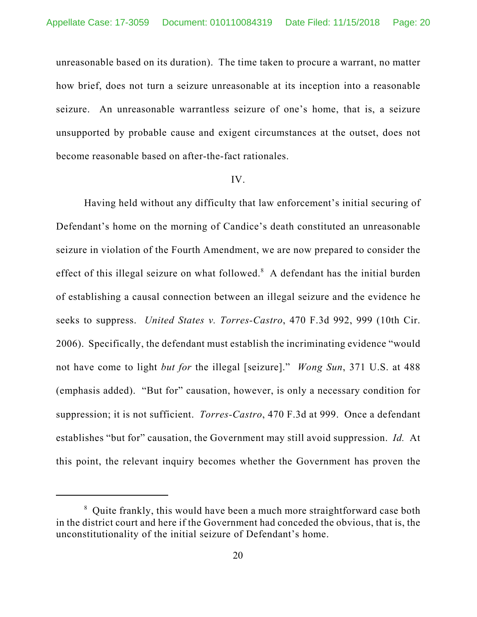unreasonable based on its duration). The time taken to procure a warrant, no matter how brief, does not turn a seizure unreasonable at its inception into a reasonable seizure. An unreasonable warrantless seizure of one's home, that is, a seizure unsupported by probable cause and exigent circumstances at the outset, does not become reasonable based on after-the-fact rationales.

### IV.

Having held without any difficulty that law enforcement's initial securing of Defendant's home on the morning of Candice's death constituted an unreasonable seizure in violation of the Fourth Amendment, we are now prepared to consider the effect of this illegal seizure on what followed. $^8$  A defendant has the initial burden of establishing a causal connection between an illegal seizure and the evidence he seeks to suppress. *United States v. Torres-Castro*, 470 F.3d 992, 999 (10th Cir. 2006). Specifically, the defendant must establish the incriminating evidence "would not have come to light *but for* the illegal [seizure]." *Wong Sun*, 371 U.S. at 488 (emphasis added). "But for" causation, however, is only a necessary condition for suppression; it is not sufficient. *Torres-Castro*, 470 F.3d at 999. Once a defendant establishes "but for" causation, the Government may still avoid suppression. *Id.* At this point, the relevant inquiry becomes whether the Government has proven the

 $8$  Quite frankly, this would have been a much more straightforward case both in the district court and here if the Government had conceded the obvious, that is, the unconstitutionality of the initial seizure of Defendant's home.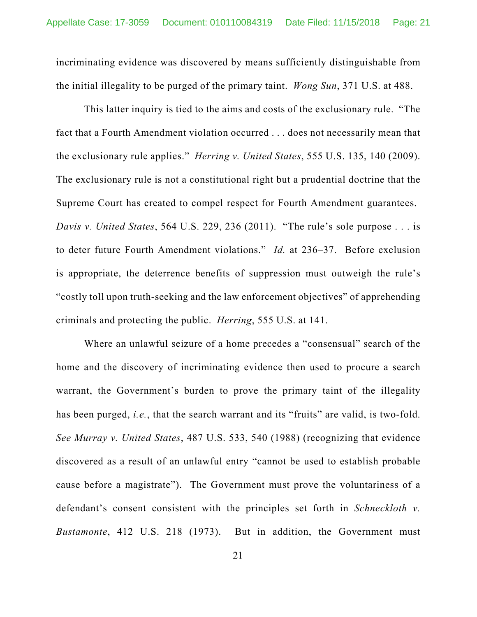incriminating evidence was discovered by means sufficiently distinguishable from the initial illegality to be purged of the primary taint. *Wong Sun*, 371 U.S. at 488.

This latter inquiry is tied to the aims and costs of the exclusionary rule. "The fact that a Fourth Amendment violation occurred . . . does not necessarily mean that the exclusionary rule applies." *Herring v. United States*, 555 U.S. 135, 140 (2009). The exclusionary rule is not a constitutional right but a prudential doctrine that the Supreme Court has created to compel respect for Fourth Amendment guarantees. *Davis v. United States*, 564 U.S. 229, 236 (2011). "The rule's sole purpose . . . is to deter future Fourth Amendment violations." *Id.* at 236–37. Before exclusion is appropriate, the deterrence benefits of suppression must outweigh the rule's "costly toll upon truth-seeking and the law enforcement objectives" of apprehending criminals and protecting the public. *Herring*, 555 U.S. at 141.

Where an unlawful seizure of a home precedes a "consensual" search of the home and the discovery of incriminating evidence then used to procure a search warrant, the Government's burden to prove the primary taint of the illegality has been purged, *i.e.*, that the search warrant and its "fruits" are valid, is two-fold. *See Murray v. United States*, 487 U.S. 533, 540 (1988) (recognizing that evidence discovered as a result of an unlawful entry "cannot be used to establish probable cause before a magistrate"). The Government must prove the voluntariness of a defendant's consent consistent with the principles set forth in *Schneckloth v. Bustamonte*, 412 U.S. 218 (1973). But in addition, the Government must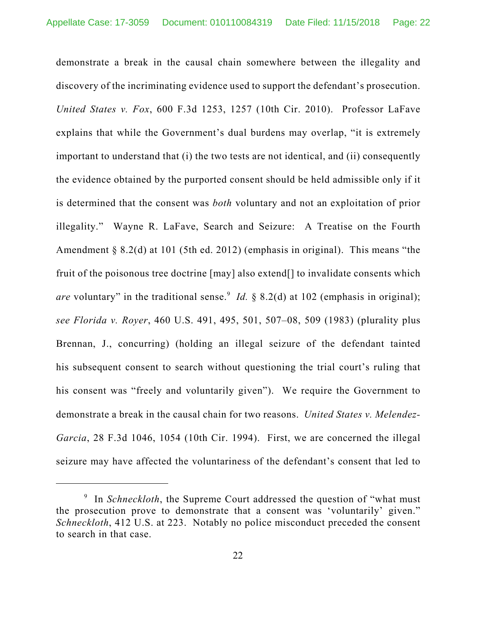demonstrate a break in the causal chain somewhere between the illegality and discovery of the incriminating evidence used to support the defendant's prosecution. *United States v. Fox*, 600 F.3d 1253, 1257 (10th Cir. 2010). Professor LaFave explains that while the Government's dual burdens may overlap, "it is extremely important to understand that (i) the two tests are not identical, and (ii) consequently the evidence obtained by the purported consent should be held admissible only if it is determined that the consent was *both* voluntary and not an exploitation of prior illegality." Wayne R. LaFave, Search and Seizure: A Treatise on the Fourth Amendment § 8.2(d) at 101 (5th ed. 2012) (emphasis in original). This means "the fruit of the poisonous tree doctrine [may] also extend[] to invalidate consents which are voluntary" in the traditional sense.<sup>9</sup> *Id.* § 8.2(d) at 102 (emphasis in original); *see Florida v. Royer*, 460 U.S. 491, 495, 501, 507–08, 509 (1983) (plurality plus Brennan, J., concurring) (holding an illegal seizure of the defendant tainted his subsequent consent to search without questioning the trial court's ruling that his consent was "freely and voluntarily given"). We require the Government to demonstrate a break in the causal chain for two reasons. *United States v. Melendez-Garcia*, 28 F.3d 1046, 1054 (10th Cir. 1994). First, we are concerned the illegal seizure may have affected the voluntariness of the defendant's consent that led to

<sup>&</sup>lt;sup>9</sup> In *Schneckloth*, the Supreme Court addressed the question of "what must the prosecution prove to demonstrate that a consent was 'voluntarily' given." *Schneckloth*, 412 U.S. at 223. Notably no police misconduct preceded the consent to search in that case.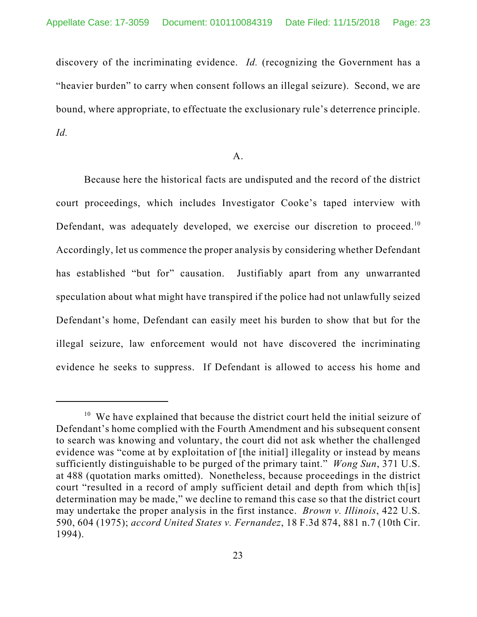discovery of the incriminating evidence. *Id.* (recognizing the Government has a "heavier burden" to carry when consent follows an illegal seizure). Second, we are bound, where appropriate, to effectuate the exclusionary rule's deterrence principle. *Id.*

### A.

Because here the historical facts are undisputed and the record of the district court proceedings, which includes Investigator Cooke's taped interview with Defendant, was adequately developed, we exercise our discretion to proceed.<sup>10</sup> Accordingly, let us commence the proper analysis by considering whether Defendant has established "but for" causation. Justifiably apart from any unwarranted speculation about what might have transpired if the police had not unlawfully seized Defendant's home, Defendant can easily meet his burden to show that but for the illegal seizure, law enforcement would not have discovered the incriminating evidence he seeks to suppress. If Defendant is allowed to access his home and

 $10$  We have explained that because the district court held the initial seizure of Defendant's home complied with the Fourth Amendment and his subsequent consent to search was knowing and voluntary, the court did not ask whether the challenged evidence was "come at by exploitation of [the initial] illegality or instead by means sufficiently distinguishable to be purged of the primary taint." *Wong Sun*, 371 U.S. at 488 (quotation marks omitted). Nonetheless, because proceedings in the district court "resulted in a record of amply sufficient detail and depth from which th[is] determination may be made," we decline to remand this case so that the district court may undertake the proper analysis in the first instance. *Brown v. Illinois*, 422 U.S. 590, 604 (1975); *accord United States v. Fernandez*, 18 F.3d 874, 881 n.7 (10th Cir. 1994).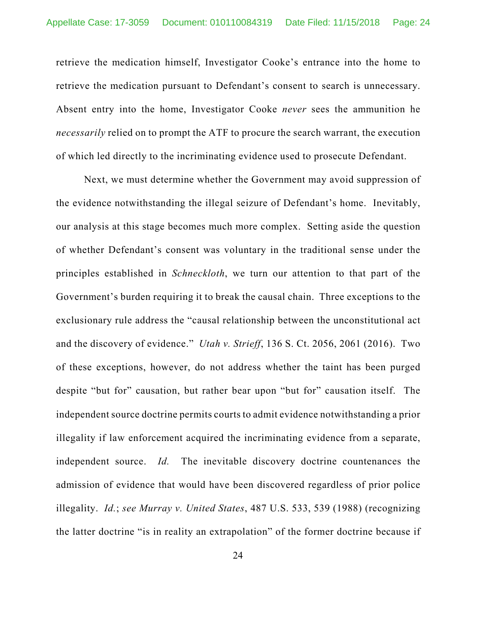retrieve the medication himself, Investigator Cooke's entrance into the home to retrieve the medication pursuant to Defendant's consent to search is unnecessary. Absent entry into the home, Investigator Cooke *never* sees the ammunition he *necessarily* relied on to prompt the ATF to procure the search warrant, the execution of which led directly to the incriminating evidence used to prosecute Defendant.

Next, we must determine whether the Government may avoid suppression of the evidence notwithstanding the illegal seizure of Defendant's home. Inevitably, our analysis at this stage becomes much more complex. Setting aside the question of whether Defendant's consent was voluntary in the traditional sense under the principles established in *Schneckloth*, we turn our attention to that part of the Government's burden requiring it to break the causal chain. Three exceptions to the exclusionary rule address the "causal relationship between the unconstitutional act and the discovery of evidence." *Utah v. Strieff*, 136 S. Ct. 2056, 2061 (2016). Two of these exceptions, however, do not address whether the taint has been purged despite "but for" causation, but rather bear upon "but for" causation itself. The independent source doctrine permits courts to admit evidence notwithstanding a prior illegality if law enforcement acquired the incriminating evidence from a separate, independent source. *Id.* The inevitable discovery doctrine countenances the admission of evidence that would have been discovered regardless of prior police illegality. *Id.*; *see Murray v. United States*, 487 U.S. 533, 539 (1988) (recognizing the latter doctrine "is in reality an extrapolation" of the former doctrine because if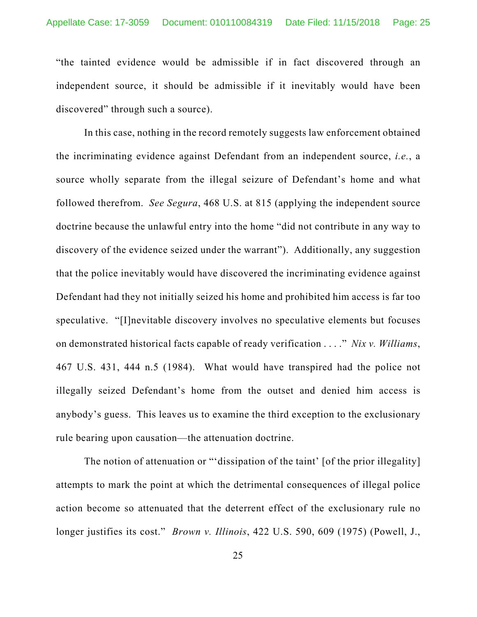"the tainted evidence would be admissible if in fact discovered through an independent source, it should be admissible if it inevitably would have been discovered" through such a source).

In this case, nothing in the record remotely suggests law enforcement obtained the incriminating evidence against Defendant from an independent source, *i.e.*, a source wholly separate from the illegal seizure of Defendant's home and what followed therefrom. *See Segura*, 468 U.S. at 815 (applying the independent source doctrine because the unlawful entry into the home "did not contribute in any way to discovery of the evidence seized under the warrant"). Additionally, any suggestion that the police inevitably would have discovered the incriminating evidence against Defendant had they not initially seized his home and prohibited him access is far too speculative. "[I]nevitable discovery involves no speculative elements but focuses on demonstrated historical facts capable of ready verification . . . ." *Nix v. Williams*, 467 U.S. 431, 444 n.5 (1984). What would have transpired had the police not illegally seized Defendant's home from the outset and denied him access is anybody's guess. This leaves us to examine the third exception to the exclusionary rule bearing upon causation—the attenuation doctrine.

The notion of attenuation or "'dissipation of the taint' [of the prior illegality] attempts to mark the point at which the detrimental consequences of illegal police action become so attenuated that the deterrent effect of the exclusionary rule no longer justifies its cost." *Brown v. Illinois*, 422 U.S. 590, 609 (1975) (Powell, J.,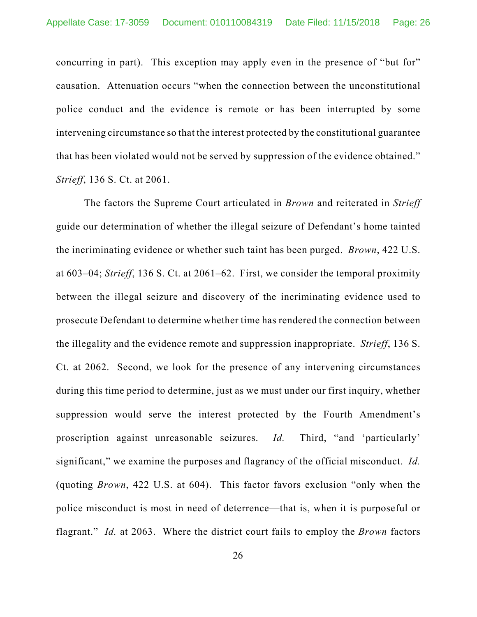concurring in part). This exception may apply even in the presence of "but for" causation. Attenuation occurs "when the connection between the unconstitutional police conduct and the evidence is remote or has been interrupted by some intervening circumstance so that the interest protected by the constitutional guarantee that has been violated would not be served by suppression of the evidence obtained." *Strieff*, 136 S. Ct. at 2061.

The factors the Supreme Court articulated in *Brown* and reiterated in *Strieff* guide our determination of whether the illegal seizure of Defendant's home tainted the incriminating evidence or whether such taint has been purged. *Brown*, 422 U.S. at 603–04; *Strieff*, 136 S. Ct. at 2061–62. First, we consider the temporal proximity between the illegal seizure and discovery of the incriminating evidence used to prosecute Defendant to determine whether time has rendered the connection between the illegality and the evidence remote and suppression inappropriate. *Strieff*, 136 S. Ct. at 2062. Second, we look for the presence of any intervening circumstances during this time period to determine, just as we must under our first inquiry, whether suppression would serve the interest protected by the Fourth Amendment's proscription against unreasonable seizures. *Id.* Third, "and 'particularly' significant," we examine the purposes and flagrancy of the official misconduct. *Id.* (quoting *Brown*, 422 U.S. at 604). This factor favors exclusion "only when the police misconduct is most in need of deterrence—that is, when it is purposeful or flagrant." *Id.* at 2063. Where the district court fails to employ the *Brown* factors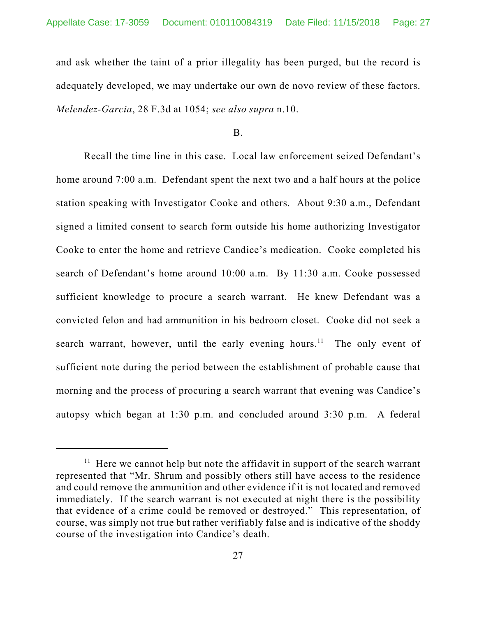and ask whether the taint of a prior illegality has been purged, but the record is adequately developed, we may undertake our own de novo review of these factors. *Melendez-Garcia*, 28 F.3d at 1054; *see also supra* n.10.

B.

Recall the time line in this case. Local law enforcement seized Defendant's home around 7:00 a.m. Defendant spent the next two and a half hours at the police station speaking with Investigator Cooke and others. About 9:30 a.m., Defendant signed a limited consent to search form outside his home authorizing Investigator Cooke to enter the home and retrieve Candice's medication. Cooke completed his search of Defendant's home around 10:00 a.m. By 11:30 a.m. Cooke possessed sufficient knowledge to procure a search warrant. He knew Defendant was a convicted felon and had ammunition in his bedroom closet. Cooke did not seek a search warrant, however, until the early evening hours.<sup>11</sup> The only event of sufficient note during the period between the establishment of probable cause that morning and the process of procuring a search warrant that evening was Candice's autopsy which began at 1:30 p.m. and concluded around 3:30 p.m. A federal

 $11$  Here we cannot help but note the affidavit in support of the search warrant represented that "Mr. Shrum and possibly others still have access to the residence and could remove the ammunition and other evidence if it is not located and removed immediately. If the search warrant is not executed at night there is the possibility that evidence of a crime could be removed or destroyed." This representation, of course, was simply not true but rather verifiably false and is indicative of the shoddy course of the investigation into Candice's death.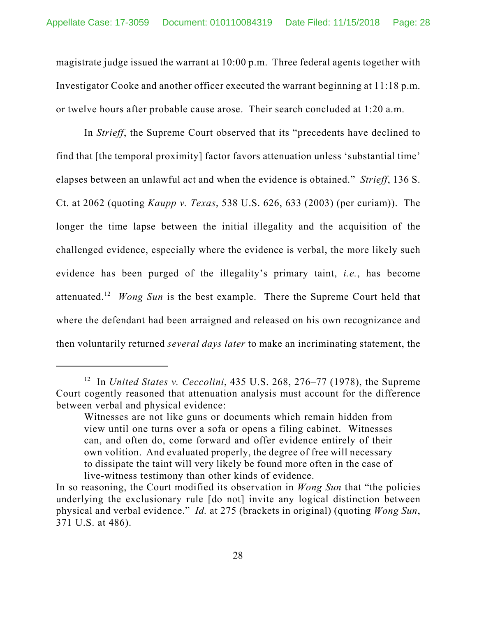magistrate judge issued the warrant at 10:00 p.m. Three federal agents together with Investigator Cooke and another officer executed the warrant beginning at 11:18 p.m. or twelve hours after probable cause arose. Their search concluded at 1:20 a.m.

In *Strieff*, the Supreme Court observed that its "precedents have declined to find that [the temporal proximity] factor favors attenuation unless 'substantial time' elapses between an unlawful act and when the evidence is obtained." *Strieff*, 136 S. Ct. at 2062 (quoting *Kaupp v. Texas*, 538 U.S. 626, 633 (2003) (per curiam)). The longer the time lapse between the initial illegality and the acquisition of the challenged evidence, especially where the evidence is verbal, the more likely such evidence has been purged of the illegality's primary taint, *i.e.*, has become attenuated.12 *Wong Sun* is the best example. There the Supreme Court held that where the defendant had been arraigned and released on his own recognizance and then voluntarily returned *several days later* to make an incriminating statement, the

<sup>&</sup>lt;sup>12</sup> In *United States v. Ceccolini*, 435 U.S. 268, 276–77 (1978), the Supreme Court cogently reasoned that attenuation analysis must account for the difference between verbal and physical evidence:

Witnesses are not like guns or documents which remain hidden from view until one turns over a sofa or opens a filing cabinet. Witnesses can, and often do, come forward and offer evidence entirely of their own volition. And evaluated properly, the degree of free will necessary to dissipate the taint will very likely be found more often in the case of live-witness testimony than other kinds of evidence.

In so reasoning, the Court modified its observation in *Wong Sun* that "the policies underlying the exclusionary rule [do not] invite any logical distinction between physical and verbal evidence." *Id.* at 275 (brackets in original) (quoting *Wong Sun*, 371 U.S. at 486).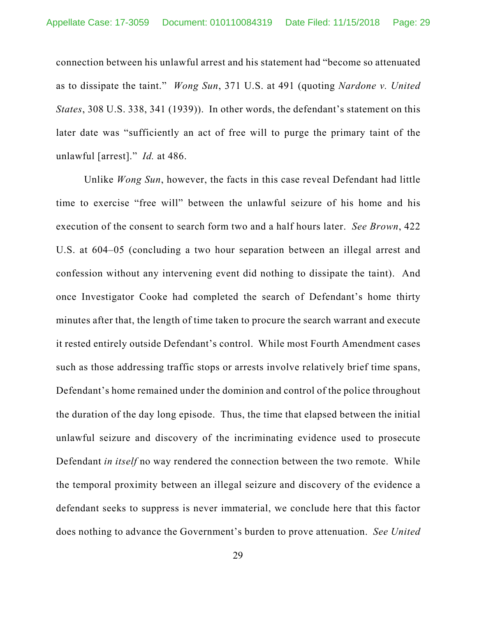connection between his unlawful arrest and his statement had "become so attenuated as to dissipate the taint." *Wong Sun*, 371 U.S. at 491 (quoting *Nardone v. United States*, 308 U.S. 338, 341 (1939)). In other words, the defendant's statement on this later date was "sufficiently an act of free will to purge the primary taint of the unlawful [arrest]." *Id.* at 486.

Unlike *Wong Sun*, however, the facts in this case reveal Defendant had little time to exercise "free will" between the unlawful seizure of his home and his execution of the consent to search form two and a half hours later. *See Brown*, 422 U.S. at 604–05 (concluding a two hour separation between an illegal arrest and confession without any intervening event did nothing to dissipate the taint). And once Investigator Cooke had completed the search of Defendant's home thirty minutes after that, the length of time taken to procure the search warrant and execute it rested entirely outside Defendant's control. While most Fourth Amendment cases such as those addressing traffic stops or arrests involve relatively brief time spans, Defendant's home remained under the dominion and control of the police throughout the duration of the day long episode. Thus, the time that elapsed between the initial unlawful seizure and discovery of the incriminating evidence used to prosecute Defendant *in itself* no way rendered the connection between the two remote. While the temporal proximity between an illegal seizure and discovery of the evidence a defendant seeks to suppress is never immaterial, we conclude here that this factor does nothing to advance the Government's burden to prove attenuation. *See United*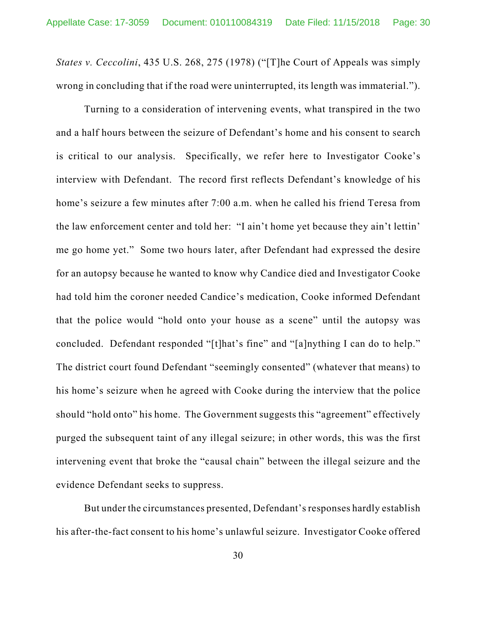*States v. Ceccolini*, 435 U.S. 268, 275 (1978) ("[T]he Court of Appeals was simply wrong in concluding that if the road were uninterrupted, its length was immaterial.").

Turning to a consideration of intervening events, what transpired in the two and a half hours between the seizure of Defendant's home and his consent to search is critical to our analysis. Specifically, we refer here to Investigator Cooke's interview with Defendant. The record first reflects Defendant's knowledge of his home's seizure a few minutes after 7:00 a.m. when he called his friend Teresa from the law enforcement center and told her: "I ain't home yet because they ain't lettin' me go home yet." Some two hours later, after Defendant had expressed the desire for an autopsy because he wanted to know why Candice died and Investigator Cooke had told him the coroner needed Candice's medication, Cooke informed Defendant that the police would "hold onto your house as a scene" until the autopsy was concluded. Defendant responded "[t]hat's fine" and "[a]nything I can do to help." The district court found Defendant "seemingly consented" (whatever that means) to his home's seizure when he agreed with Cooke during the interview that the police should "hold onto" his home. The Government suggests this "agreement" effectively purged the subsequent taint of any illegal seizure; in other words, this was the first intervening event that broke the "causal chain" between the illegal seizure and the evidence Defendant seeks to suppress.

But under the circumstances presented, Defendant's responses hardly establish his after-the-fact consent to his home's unlawful seizure. Investigator Cooke offered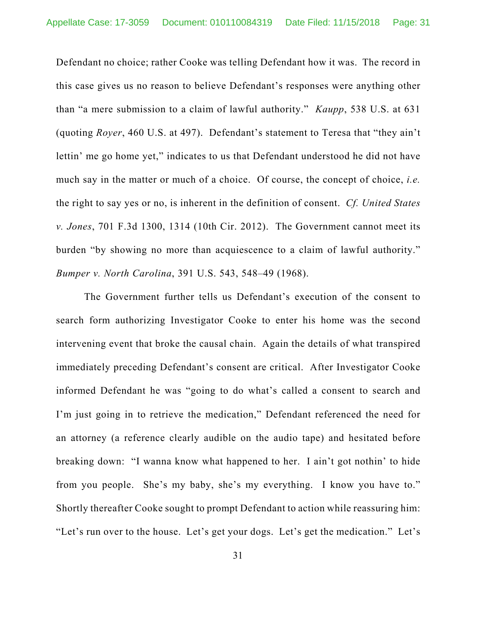Defendant no choice; rather Cooke was telling Defendant how it was. The record in this case gives us no reason to believe Defendant's responses were anything other than "a mere submission to a claim of lawful authority." *Kaupp*, 538 U.S. at 631 (quoting *Royer*, 460 U.S. at 497). Defendant's statement to Teresa that "they ain't lettin' me go home yet," indicates to us that Defendant understood he did not have much say in the matter or much of a choice. Of course, the concept of choice, *i.e.* the right to say yes or no, is inherent in the definition of consent. *Cf. United States v. Jones*, 701 F.3d 1300, 1314 (10th Cir. 2012). The Government cannot meet its burden "by showing no more than acquiescence to a claim of lawful authority." *Bumper v. North Carolina*, 391 U.S. 543, 548–49 (1968).

The Government further tells us Defendant's execution of the consent to search form authorizing Investigator Cooke to enter his home was the second intervening event that broke the causal chain. Again the details of what transpired immediately preceding Defendant's consent are critical. After Investigator Cooke informed Defendant he was "going to do what's called a consent to search and I'm just going in to retrieve the medication," Defendant referenced the need for an attorney (a reference clearly audible on the audio tape) and hesitated before breaking down: "I wanna know what happened to her. I ain't got nothin' to hide from you people. She's my baby, she's my everything. I know you have to." Shortly thereafter Cooke sought to prompt Defendant to action while reassuring him: "Let's run over to the house. Let's get your dogs. Let's get the medication." Let's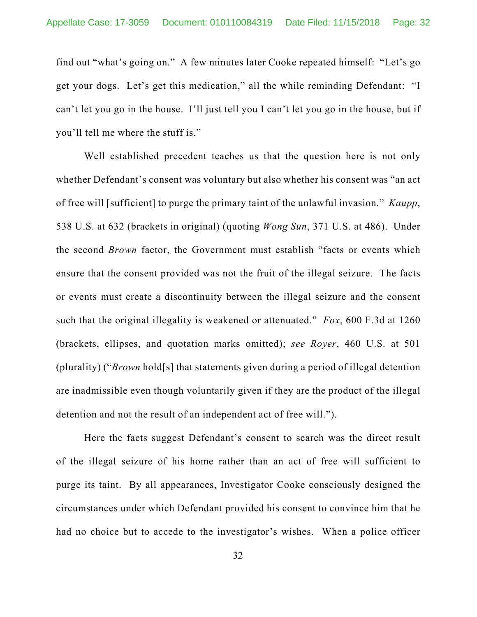find out "what's going on." A few minutes later Cooke repeated himself: "Let's go get your dogs. Let's get this medication," all the while reminding Defendant: "I can't let you go in the house. I'll just tell you I can't let you go in the house, but if you'll tell me where the stuff is."

Well established precedent teaches us that the question here is not only whether Defendant's consent was voluntary but also whether his consent was "an act of free will [sufficient] to purge the primary taint of the unlawful invasion." *Kaupp*, 538 U.S. at 632 (brackets in original) (quoting *Wong Sun*, 371 U.S. at 486). Under the second *Brown* factor, the Government must establish "facts or events which ensure that the consent provided was not the fruit of the illegal seizure. The facts or events must create a discontinuity between the illegal seizure and the consent such that the original illegality is weakened or attenuated." *Fox*, 600 F.3d at 1260 (brackets, ellipses, and quotation marks omitted); *see Royer*, 460 U.S. at 501 (plurality) ("*Brown* hold[s] that statements given during a period of illegal detention are inadmissible even though voluntarily given if they are the product of the illegal detention and not the result of an independent act of free will.").

Here the facts suggest Defendant's consent to search was the direct result of the illegal seizure of his home rather than an act of free will sufficient to purge its taint. By all appearances, Investigator Cooke consciously designed the circumstances under which Defendant provided his consent to convince him that he had no choice but to accede to the investigator's wishes. When a police officer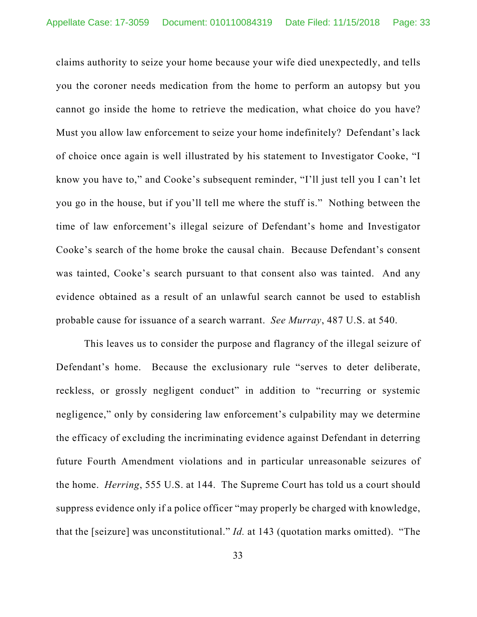claims authority to seize your home because your wife died unexpectedly, and tells you the coroner needs medication from the home to perform an autopsy but you cannot go inside the home to retrieve the medication, what choice do you have? Must you allow law enforcement to seize your home indefinitely? Defendant's lack of choice once again is well illustrated by his statement to Investigator Cooke, "I know you have to," and Cooke's subsequent reminder, "I'll just tell you I can't let you go in the house, but if you'll tell me where the stuff is." Nothing between the time of law enforcement's illegal seizure of Defendant's home and Investigator Cooke's search of the home broke the causal chain. Because Defendant's consent was tainted, Cooke's search pursuant to that consent also was tainted. And any evidence obtained as a result of an unlawful search cannot be used to establish probable cause for issuance of a search warrant. *See Murray*, 487 U.S. at 540.

This leaves us to consider the purpose and flagrancy of the illegal seizure of Defendant's home. Because the exclusionary rule "serves to deter deliberate, reckless, or grossly negligent conduct" in addition to "recurring or systemic negligence," only by considering law enforcement's culpability may we determine the efficacy of excluding the incriminating evidence against Defendant in deterring future Fourth Amendment violations and in particular unreasonable seizures of the home. *Herring*, 555 U.S. at 144. The Supreme Court has told us a court should suppress evidence only if a police officer "may properly be charged with knowledge, that the [seizure] was unconstitutional." *Id.* at 143 (quotation marks omitted). "The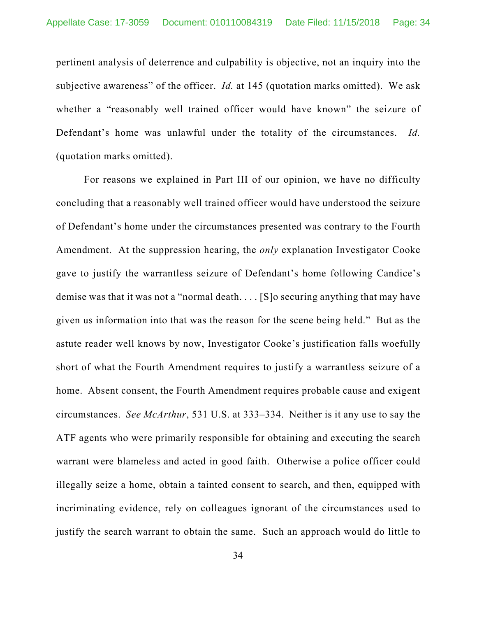pertinent analysis of deterrence and culpability is objective, not an inquiry into the subjective awareness" of the officer. *Id.* at 145 (quotation marks omitted). We ask whether a "reasonably well trained officer would have known" the seizure of Defendant's home was unlawful under the totality of the circumstances. *Id.* (quotation marks omitted).

For reasons we explained in Part III of our opinion, we have no difficulty concluding that a reasonably well trained officer would have understood the seizure of Defendant's home under the circumstances presented was contrary to the Fourth Amendment. At the suppression hearing, the *only* explanation Investigator Cooke gave to justify the warrantless seizure of Defendant's home following Candice's demise was that it was not a "normal death. . . . [S]o securing anything that may have given us information into that was the reason for the scene being held." But as the astute reader well knows by now, Investigator Cooke's justification falls woefully short of what the Fourth Amendment requires to justify a warrantless seizure of a home. Absent consent, the Fourth Amendment requires probable cause and exigent circumstances. *See McArthur*, 531 U.S. at 333–334. Neither is it any use to say the ATF agents who were primarily responsible for obtaining and executing the search warrant were blameless and acted in good faith. Otherwise a police officer could illegally seize a home, obtain a tainted consent to search, and then, equipped with incriminating evidence, rely on colleagues ignorant of the circumstances used to justify the search warrant to obtain the same. Such an approach would do little to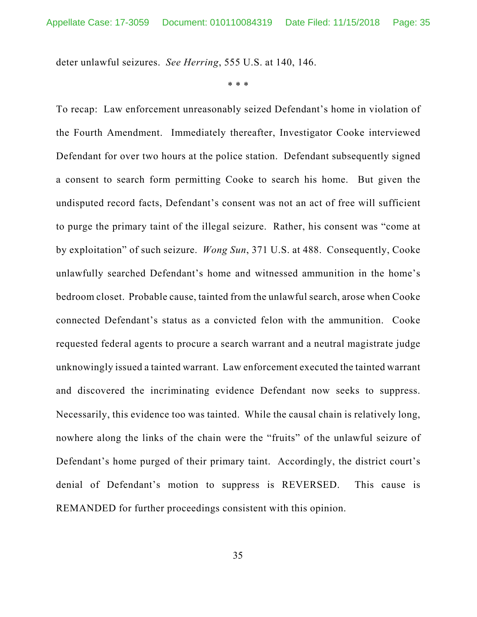deter unlawful seizures. *See Herring*, 555 U.S. at 140, 146.

\* \* \*

To recap: Law enforcement unreasonably seized Defendant's home in violation of the Fourth Amendment. Immediately thereafter, Investigator Cooke interviewed Defendant for over two hours at the police station. Defendant subsequently signed a consent to search form permitting Cooke to search his home. But given the undisputed record facts, Defendant's consent was not an act of free will sufficient to purge the primary taint of the illegal seizure. Rather, his consent was "come at by exploitation" of such seizure. *Wong Sun*, 371 U.S. at 488. Consequently, Cooke unlawfully searched Defendant's home and witnessed ammunition in the home's bedroom closet. Probable cause, tainted from the unlawful search, arose when Cooke connected Defendant's status as a convicted felon with the ammunition. Cooke requested federal agents to procure a search warrant and a neutral magistrate judge unknowingly issued a tainted warrant. Law enforcement executed the tainted warrant and discovered the incriminating evidence Defendant now seeks to suppress. Necessarily, this evidence too was tainted. While the causal chain is relatively long, nowhere along the links of the chain were the "fruits" of the unlawful seizure of Defendant's home purged of their primary taint. Accordingly, the district court's denial of Defendant's motion to suppress is REVERSED. This cause is REMANDED for further proceedings consistent with this opinion.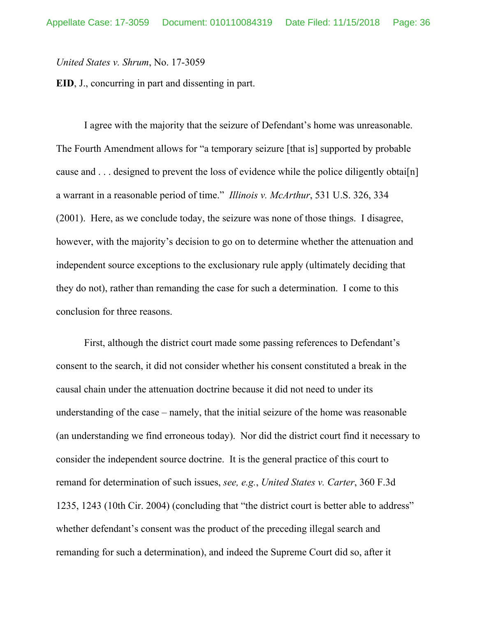*United States v. Shrum*, No. 17-3059

**EID**, J., concurring in part and dissenting in part.

I agree with the majority that the seizure of Defendant's home was unreasonable. The Fourth Amendment allows for "a temporary seizure [that is] supported by probable cause and . . . designed to prevent the loss of evidence while the police diligently obtai<sup>[n]</sup> a warrant in a reasonable period of time." *Illinois v. McArthur*, 531 U.S. 326, 334 (2001). Here, as we conclude today, the seizure was none of those things. I disagree, however, with the majority's decision to go on to determine whether the attenuation and independent source exceptions to the exclusionary rule apply (ultimately deciding that they do not), rather than remanding the case for such a determination. I come to this conclusion for three reasons.

First, although the district court made some passing references to Defendant's consent to the search, it did not consider whether his consent constituted a break in the causal chain under the attenuation doctrine because it did not need to under its understanding of the case – namely, that the initial seizure of the home was reasonable (an understanding we find erroneous today). Nor did the district court find it necessary to consider the independent source doctrine. It is the general practice of this court to remand for determination of such issues, *see, e.g.*, *United States v. Carter*, 360 F.3d 1235, 1243 (10th Cir. 2004) (concluding that "the district court is better able to address" whether defendant's consent was the product of the preceding illegal search and remanding for such a determination), and indeed the Supreme Court did so, after it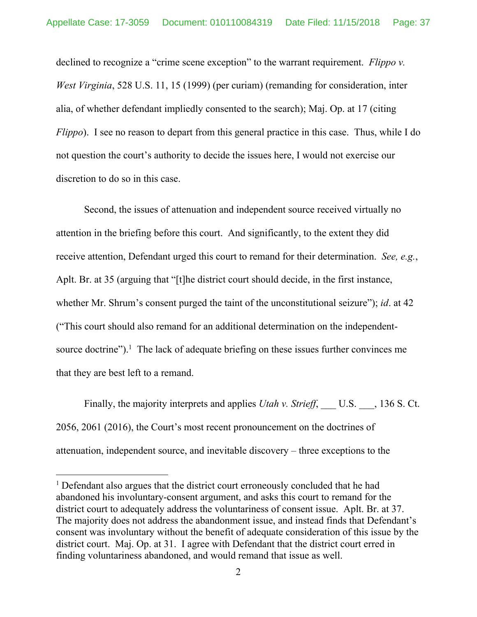declined to recognize a "crime scene exception" to the warrant requirement. *Flippo v. West Virginia*, 528 U.S. 11, 15 (1999) (per curiam) (remanding for consideration, inter alia, of whether defendant impliedly consented to the search); Maj. Op. at 17 (citing *Flippo*). I see no reason to depart from this general practice in this case. Thus, while I do not question the court's authority to decide the issues here, I would not exercise our discretion to do so in this case.

Second, the issues of attenuation and independent source received virtually no attention in the briefing before this court. And significantly, to the extent they did receive attention, Defendant urged this court to remand for their determination. *See, e.g.*, Aplt. Br. at 35 (arguing that "[t]he district court should decide, in the first instance, whether Mr. Shrum's consent purged the taint of the unconstitutional seizure"); *id*. at 42 ("This court should also remand for an additional determination on the independentsource doctrine").<sup>1</sup> The lack of adequate briefing on these issues further convinces me that they are best left to a remand.

Finally, the majority interprets and applies *Utah v. Strieff*, U.S. , 136 S. Ct. 2056, 2061 (2016), the Court's most recent pronouncement on the doctrines of attenuation, independent source, and inevitable discovery – three exceptions to the

 $\overline{a}$ 

<sup>&</sup>lt;sup>1</sup> Defendant also argues that the district court erroneously concluded that he had abandoned his involuntary-consent argument, and asks this court to remand for the district court to adequately address the voluntariness of consent issue. Aplt. Br. at 37. The majority does not address the abandonment issue, and instead finds that Defendant's consent was involuntary without the benefit of adequate consideration of this issue by the district court. Maj. Op. at 31. I agree with Defendant that the district court erred in finding voluntariness abandoned, and would remand that issue as well.